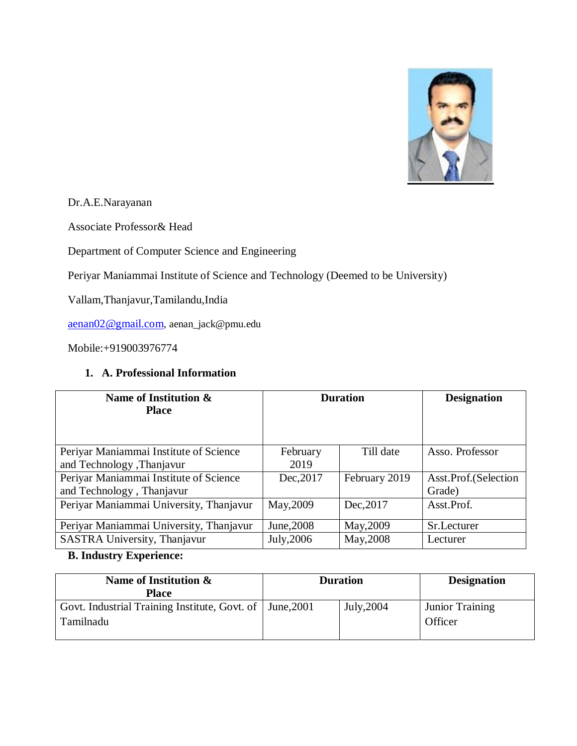

Dr.A.E.Narayanan

Associate Professor& Head

Department of Computer Science and Engineering

Periyar Maniammai Institute of Science and Technology (Deemed to be University)

Vallam,Thanjavur,Tamilandu,India

[aenan02@gmail.com](mailto:aenan02@gmail.com), aenan\_jack@pmu.edu

Mobile:+919003976774

#### **1. A. Professional Information**

| Name of Institution &<br><b>Place</b>   | <b>Duration</b> |               | <b>Designation</b>   |
|-----------------------------------------|-----------------|---------------|----------------------|
| Periyar Maniammai Institute of Science  | February        | Till date     | Asso. Professor      |
| and Technology , Thanjavur              | 2019            |               |                      |
| Periyar Maniammai Institute of Science  | Dec, 2017       | February 2019 | Asst.Prof.(Selection |
| and Technology, Thanjavur               |                 |               | Grade)               |
| Periyar Maniammai University, Thanjavur | May, 2009       | Dec, 2017     | Asst.Prof.           |
| Periyar Maniammai University, Thanjavur | June, 2008      | May, 2009     | Sr.Lecturer          |
| SASTRA University, Thanjavur            | July, 2006      | May, 2008     | Lecturer             |

## **B. Industry Experience:**

| Name of Institution &<br><b>Place</b>                      | <b>Duration</b> |            | <b>Designation</b>     |
|------------------------------------------------------------|-----------------|------------|------------------------|
| Govt. Industrial Training Institute, Govt. of   June, 2001 |                 | July, 2004 | <b>Junior Training</b> |
| Tamilnadu                                                  |                 |            | Officer                |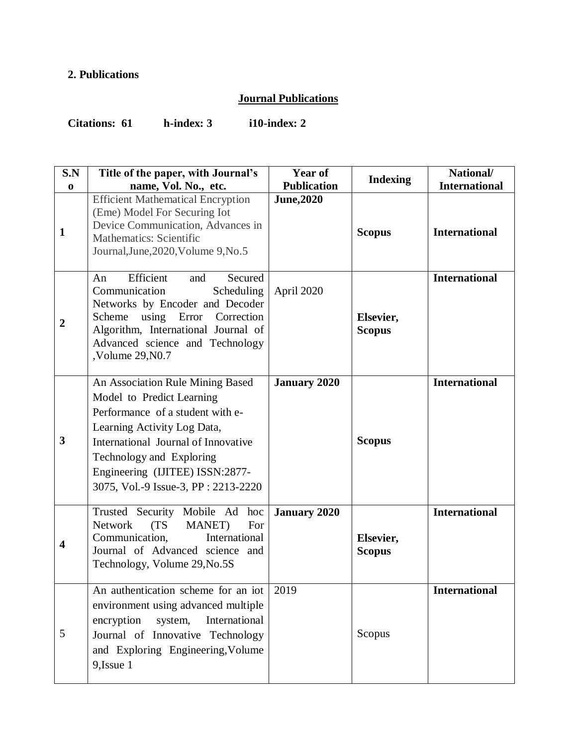## **2. Publications**

## **Journal Publications**

**Citations: 61 h-index: 3 i10-index: 2**

| S.N<br>$\mathbf 0$      | Title of the paper, with Journal's<br>name, Vol. No., etc.                                                                                                                                                                                                                    | Year of<br><b>Publication</b> | <b>Indexing</b>            | National/<br><b>International</b> |
|-------------------------|-------------------------------------------------------------------------------------------------------------------------------------------------------------------------------------------------------------------------------------------------------------------------------|-------------------------------|----------------------------|-----------------------------------|
| $\mathbf{1}$            | <b>Efficient Mathematical Encryption</b><br>(Eme) Model For Securing Iot<br>Device Communication, Advances in<br><b>Mathematics: Scientific</b><br>Journal, June, 2020, Volume 9, No. 5                                                                                       | <b>June, 2020</b>             | <b>Scopus</b>              | <b>International</b>              |
| $\overline{2}$          | Efficient<br>Secured<br>and<br>An<br>Communication<br>Scheduling<br>Networks by Encoder and Decoder<br>Scheme using Error Correction<br>Algorithm, International Journal of<br>Advanced science and Technology<br>,Volume 29, N0.7                                            | April 2020                    | Elsevier,<br><b>Scopus</b> | <b>International</b>              |
| 3                       | An Association Rule Mining Based<br>Model to Predict Learning<br>Performance of a student with e-<br>Learning Activity Log Data,<br>International Journal of Innovative<br>Technology and Exploring<br>Engineering (IJITEE) ISSN:2877-<br>3075, Vol.-9 Issue-3, PP: 2213-2220 | <b>January 2020</b>           | <b>Scopus</b>              | <b>International</b>              |
| $\overline{\mathbf{4}}$ | Trusted Security Mobile Ad<br>hoc<br>Network<br>(TS)<br><b>MANET</b> )<br>For<br>Communication,<br>International<br>Journal of Advanced science and<br>Technology, Volume 29, No. 5S                                                                                          | <b>January 2020</b>           | Elsevier,<br><b>Scopus</b> | <b>International</b>              |
| 5                       | An authentication scheme for an iot 2019<br>environment using advanced multiple<br>International<br>encryption<br>system,<br>Journal of Innovative Technology<br>and Exploring Engineering, Volume<br>9, Issue 1                                                              |                               | Scopus                     | <b>International</b>              |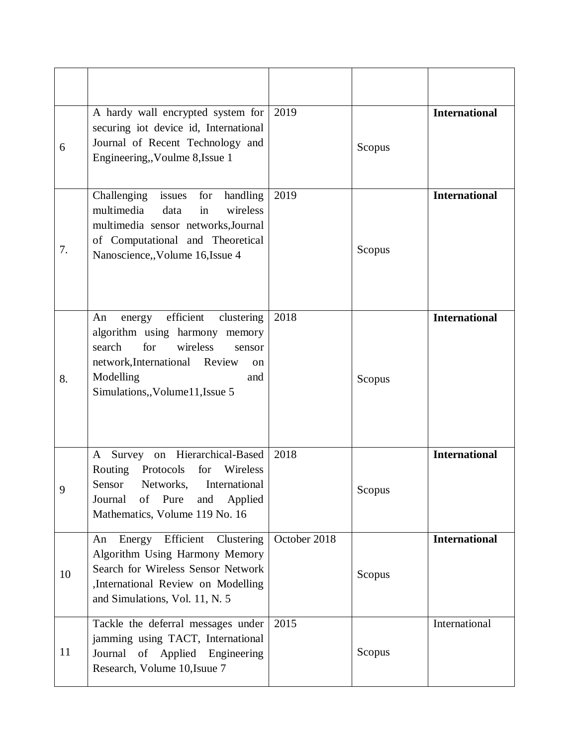| 6  | A hardy wall encrypted system for<br>securing iot device id, International<br>Journal of Recent Technology and<br>Engineering,, Voulme 8, Issue 1                                                                          | 2019         | Scopus | <b>International</b> |
|----|----------------------------------------------------------------------------------------------------------------------------------------------------------------------------------------------------------------------------|--------------|--------|----------------------|
| 7. | issues<br>Challenging<br>for<br>handling<br>multimedia<br>wireless<br>data<br>in<br>multimedia sensor networks, Journal<br>of Computational and Theoretical<br>Nanoscience, Volume 16, Issue 4                             | 2019         | Scopus | <b>International</b> |
| 8. | efficient<br>clustering<br>An<br>energy<br>algorithm using harmony memory<br>for<br>wireless<br>search<br>sensor<br>network, International Review<br><sub>on</sub><br>Modelling<br>and<br>Simulations,, Volume 11, Issue 5 | 2018         | Scopus | <b>International</b> |
| 9  | Survey on Hierarchical-Based<br>A<br>Routing<br>Protocols<br>for<br>Wireless<br>Sensor<br>Networks,<br>International<br>of Pure<br>and<br>Applied<br>Journal<br>Mathematics, Volume 119 No. 16                             | 2018         | Scopus | <b>International</b> |
| 10 | Energy Efficient Clustering<br>An<br>Algorithm Using Harmony Memory<br>Search for Wireless Sensor Network<br>,International Review on Modelling<br>and Simulations, Vol. 11, N. 5                                          | October 2018 | Scopus | <b>International</b> |
| 11 | Tackle the deferral messages under<br>jamming using TACT, International<br>Journal of Applied Engineering<br>Research, Volume 10, Isuue 7                                                                                  | 2015         | Scopus | International        |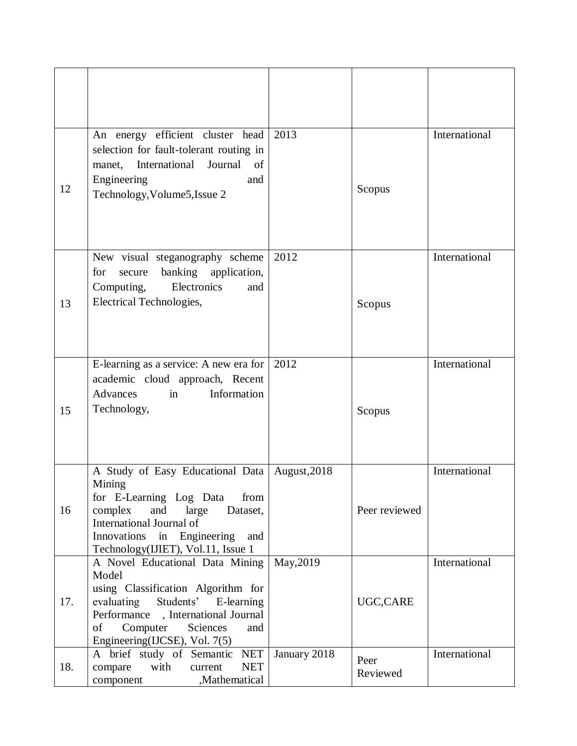| 12  | An energy efficient cluster head<br>selection for fault-tolerant routing in<br>Journal of<br>International<br>manet,<br>Engineering<br>and<br>Technology, Volume5, Issue 2                                                     | 2013         | Scopus           | International |
|-----|--------------------------------------------------------------------------------------------------------------------------------------------------------------------------------------------------------------------------------|--------------|------------------|---------------|
| 13  | New visual steganography scheme<br>banking application,<br>for<br>secure<br>Electronics<br>Computing,<br>and<br>Electrical Technologies,                                                                                       | 2012         | Scopus           | International |
| 15  | E-learning as a service: A new era for<br>academic cloud approach, Recent<br>Information<br>Advances<br>in<br>Technology,                                                                                                      | 2012         | Scopus           | International |
| 16  | A Study of Easy Educational Data  <br>Mining<br>for E-Learning Log Data<br>from<br>complex<br>and<br>large<br>Dataset,<br>International Journal of<br>Innovations in Engineering<br>and<br>Technology(IJIET), Vol.11, Issue 1  | August, 2018 | Peer reviewed    | International |
| 17. | A Novel Educational Data Mining<br>Model<br>using Classification Algorithm for<br>evaluating Students' E-learning<br>Performance , International Journal<br>Computer<br>Sciences<br>of<br>and<br>Engineering(IJCSE), Vol. 7(5) | May, 2019    | UGC,CARE         | International |
| 18. | A brief study of Semantic NET<br>with<br><b>NET</b><br>compare<br>current<br>,Mathematical<br>component                                                                                                                        | January 2018 | Peer<br>Reviewed | International |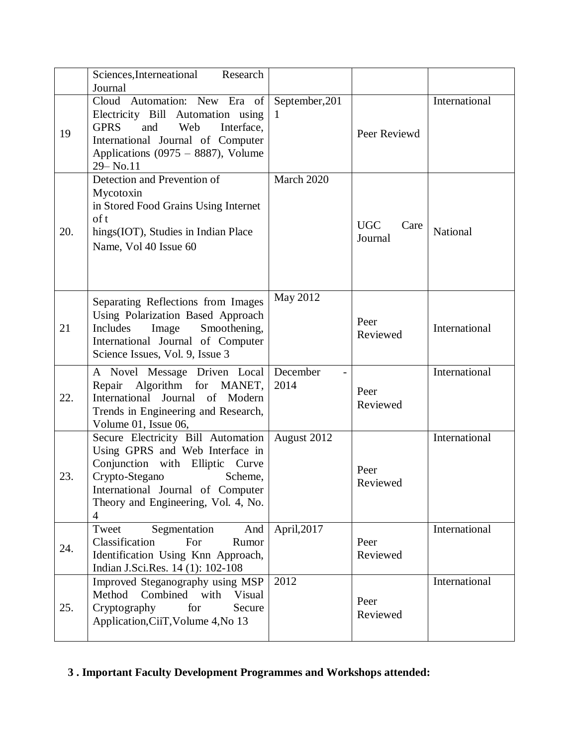|     | Sciences, Interneational<br>Research<br>Journal                                                                                                                                                                                     |                     |                               |               |
|-----|-------------------------------------------------------------------------------------------------------------------------------------------------------------------------------------------------------------------------------------|---------------------|-------------------------------|---------------|
| 19  | Cloud Automation: New Era of<br>Electricity Bill Automation using<br><b>GPRS</b><br>and<br>Web<br>Interface,<br>International Journal of Computer<br>Applications $(0975 - 8887)$ , Volume<br>29-No.11                              | September, 201<br>1 | Peer Reviewd                  | International |
| 20. | Detection and Prevention of<br>Mycotoxin<br>in Stored Food Grains Using Internet<br>of t<br>hings(IOT), Studies in Indian Place<br>Name, Vol 40 Issue 60                                                                            | March 2020          | <b>UGC</b><br>Care<br>Journal | National      |
| 21  | Separating Reflections from Images<br>Using Polarization Based Approach<br>Includes<br>Image<br>Smoothening,<br>International Journal of Computer<br>Science Issues, Vol. 9, Issue 3                                                | May 2012            | Peer<br>Reviewed              | International |
| 22. | A Novel Message Driven Local<br>Repair Algorithm for MANET,<br>International Journal of Modern<br>Trends in Engineering and Research,<br>Volume 01, Issue 06,                                                                       | December<br>2014    | Peer<br>Reviewed              | International |
| 23. | Secure Electricity Bill Automation<br>Using GPRS and Web Interface in<br>Conjunction with Elliptic Curve<br>Crypto-Stegano<br>Scheme,<br>International Journal of Computer<br>Theory and Engineering, Vol. 4, No.<br>$\overline{4}$ | August 2012         | Peer<br>Reviewed              | International |
| 24. | Tweet<br>Segmentation<br>And<br>Classification<br>For<br>Rumor<br>Identification Using Knn Approach,<br>Indian J.Sci.Res. 14 (1): 102-108                                                                                           | April, 2017         | Peer<br>Reviewed              | International |
| 25. | Improved Steganography using MSP<br>Combined with<br>Method<br>Visual<br>Cryptography<br>for<br>Secure<br>Application, CiiT, Volume 4, No 13                                                                                        | 2012                | Peer<br>Reviewed              | International |

## **3 . Important Faculty Development Programmes and Workshops attended:**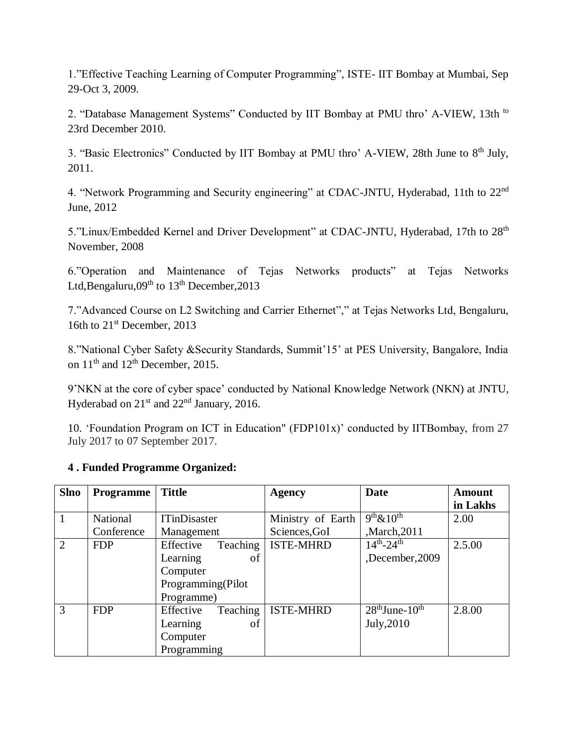1."Effective Teaching Learning of Computer Programming", ISTE- IIT Bombay at Mumbai, Sep 29-Oct 3, 2009.

2. "Database Management Systems" Conducted by IIT Bombay at PMU thro' A-VIEW, 13th to 23rd December 2010.

3. "Basic Electronics" Conducted by IIT Bombay at PMU thro' A-VIEW, 28th June to 8<sup>th</sup> July, 2011.

4. "Network Programming and Security engineering" at CDAC-JNTU, Hyderabad, 11th to 22nd June, 2012

5."Linux/Embedded Kernel and Driver Development" at CDAC-JNTU, Hyderabad, 17th to 28<sup>th</sup> November, 2008

6."Operation and Maintenance of Tejas Networks products" at Tejas Networks Ltd,Bengaluru, $09<sup>th</sup>$  to  $13<sup>th</sup>$  December, 2013

7."Advanced Course on L2 Switching and Carrier Ethernet"," at Tejas Networks Ltd, Bengaluru, 16th to  $21<sup>st</sup>$  December, 2013

8."National Cyber Safety &Security Standards, Summit'15' at PES University, Bangalore, India on  $11<sup>th</sup>$  and  $12<sup>th</sup>$  December, 2015.

9'NKN at the core of cyber space' conducted by National Knowledge Network (NKN) at JNTU, Hyderabad on  $21<sup>st</sup>$  and  $22<sup>nd</sup>$  January, 2016.

10. 'Foundation Program on ICT in Education" (FDP101x)' conducted by IITBombay, from 27 July 2017 to 07 September 2017.

# **4 . Funded Programme Organized:**

| <b>Slno</b>    | <b>Programme</b> | <b>Tittle</b>         | <b>Agency</b>     | <b>Date</b>         | <b>Amount</b> |
|----------------|------------------|-----------------------|-------------------|---------------------|---------------|
|                |                  |                       |                   |                     | in Lakhs      |
|                | National         | <b>ITinDisaster</b>   | Ministry of Earth | $9th \& 10th$       | 2.00          |
|                | Conference       | Management            | Sciences, GoI     | ,March, 2011        |               |
| 2              | <b>FDP</b>       | Effective<br>Teaching | <b>ISTE-MHRD</b>  | $14^{th} - 24^{th}$ | 2.5.00        |
|                |                  | Learning<br>οf        |                   | December, 2009      |               |
|                |                  | Computer              |                   |                     |               |
|                |                  | Programming(Pilot     |                   |                     |               |
|                |                  | Programme)            |                   |                     |               |
| $\overline{3}$ | <b>FDP</b>       | Teaching<br>Effective | <b>ISTE-MHRD</b>  | $28th$ June- $10th$ | 2.8.00        |
|                |                  | Learning<br>οf        |                   | July, 2010          |               |
|                |                  | Computer              |                   |                     |               |
|                |                  | Programming           |                   |                     |               |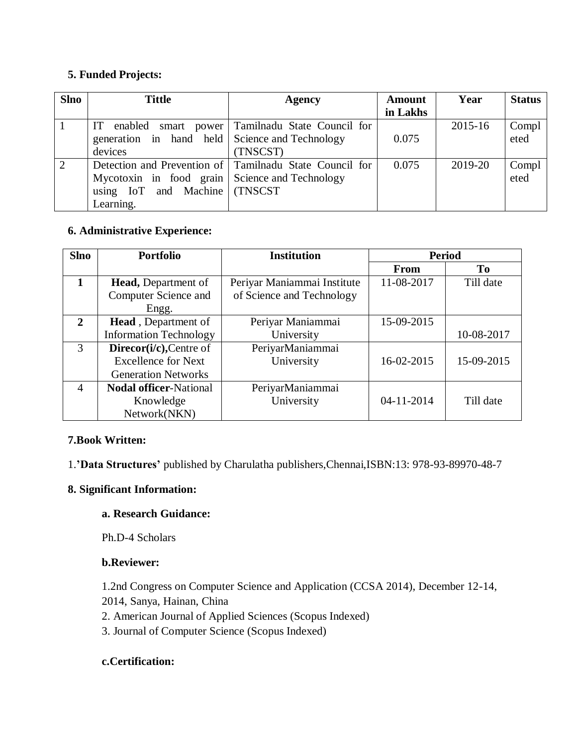### **5. Funded Projects:**

| <b>Slno</b>    | <b>Tittle</b>                                    | <b>Agency</b>                                           | <b>Amount</b> | Year        | <b>Status</b> |
|----------------|--------------------------------------------------|---------------------------------------------------------|---------------|-------------|---------------|
|                |                                                  |                                                         | in Lakhs      |             |               |
|                | IT                                               | enabled smart power Tamilnadu State Council for         |               | $2015 - 16$ | Compl         |
|                | generation in hand held Science and Technology   |                                                         | 0.075         |             | eted          |
|                | devices                                          | (TNSCST)                                                |               |             |               |
| $\overline{2}$ |                                                  | Detection and Prevention of Tamilnadu State Council for | 0.075         | 2019-20     | Compl         |
|                | Mycotoxin in food grain   Science and Technology |                                                         |               |             | eted          |
|                | using IoT and Machine (TNSCST                    |                                                         |               |             |               |
|                | Learning.                                        |                                                         |               |             |               |

### **6. Administrative Experience:**

| <b>Slno</b>    | <b>Portfolio</b>              | <b>Institution</b>          | <b>Period</b> |            |
|----------------|-------------------------------|-----------------------------|---------------|------------|
|                |                               |                             | From          | To         |
| $\mathbf{1}$   | <b>Head, Department of</b>    | Periyar Maniammai Institute | 11-08-2017    | Till date  |
|                | Computer Science and          | of Science and Technology   |               |            |
|                | Engg.                         |                             |               |            |
| $\overline{2}$ | <b>Head</b> , Department of   | Periyar Maniammai           | 15-09-2015    |            |
|                | <b>Information Technology</b> | University                  |               | 10-08-2017 |
| 3              | Direcor(i/c), Centre of       | PeriyarManiammai            |               |            |
|                | <b>Excellence for Next</b>    | University                  | 16-02-2015    | 15-09-2015 |
|                | <b>Generation Networks</b>    |                             |               |            |
| $\overline{4}$ | <b>Nodal officer-National</b> | PeriyarManiammai            |               |            |
|                | Knowledge                     | University                  | 04-11-2014    | Till date  |
|                | Network(NKN)                  |                             |               |            |

#### **7.Book Written:**

1.**'Data Structures'** published by Charulatha publishers,Chennai,ISBN:13: 978-93-89970-48-7

## **8. Significant Information:**

#### **a. Research Guidance:**

Ph.D-4 Scholars

## **b.Reviewer:**

1.2nd Congress on Computer Science and Application (CCSA 2014), December 12-14,

- 2014, Sanya, Hainan, China
- 2. American Journal of Applied Sciences (Scopus Indexed)
- 3. Journal of Computer Science (Scopus Indexed)

## **c.Certification:**